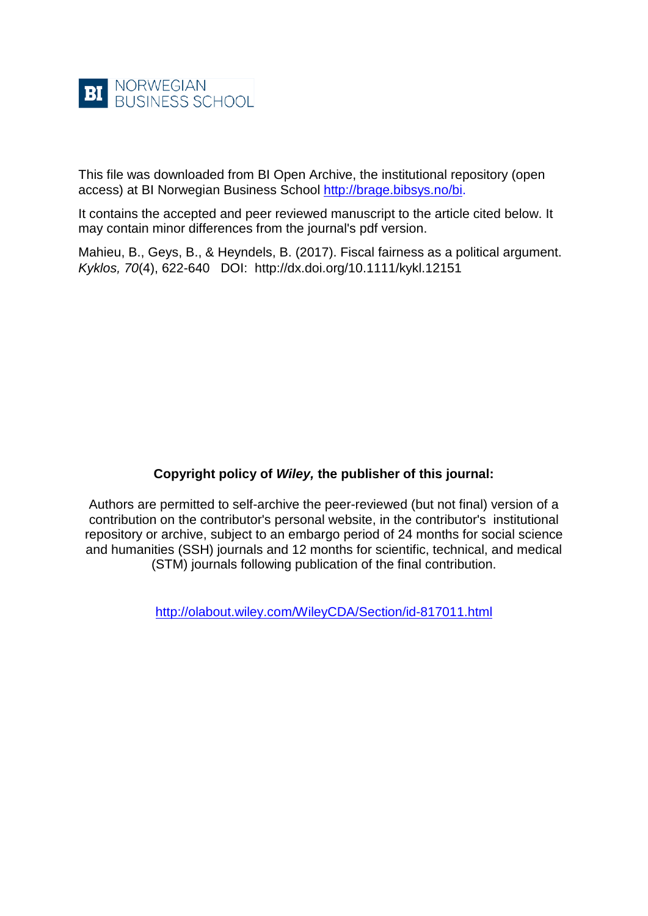

This file was downloaded from BI Open Archive, the institutional repository (open access) at BI Norwegian Business School [http://brage.bibsys.no/bi.](http://brage.bibsys.no/bi)

It contains the accepted and peer reviewed manuscript to the article cited below. It may contain minor differences from the journal's pdf version.

Mahieu, B., Geys, B., & Heyndels, B. (2017). Fiscal fairness as a political argument. *Kyklos, 70*(4), 622-640 DOI: http://dx.doi.org/10.1111/kykl.12151

# **Copyright policy of** *Wiley,* **the publisher of this journal:**

Authors are permitted to self-archive the peer-reviewed (but not final) version of a contribution on the contributor's personal website, in the contributor's institutional repository or archive, subject to an embargo period of 24 months for social science and humanities (SSH) journals and 12 months for scientific, technical, and medical (STM) journals following publication of the final contribution.

<http://olabout.wiley.com/WileyCDA/Section/id-817011.html>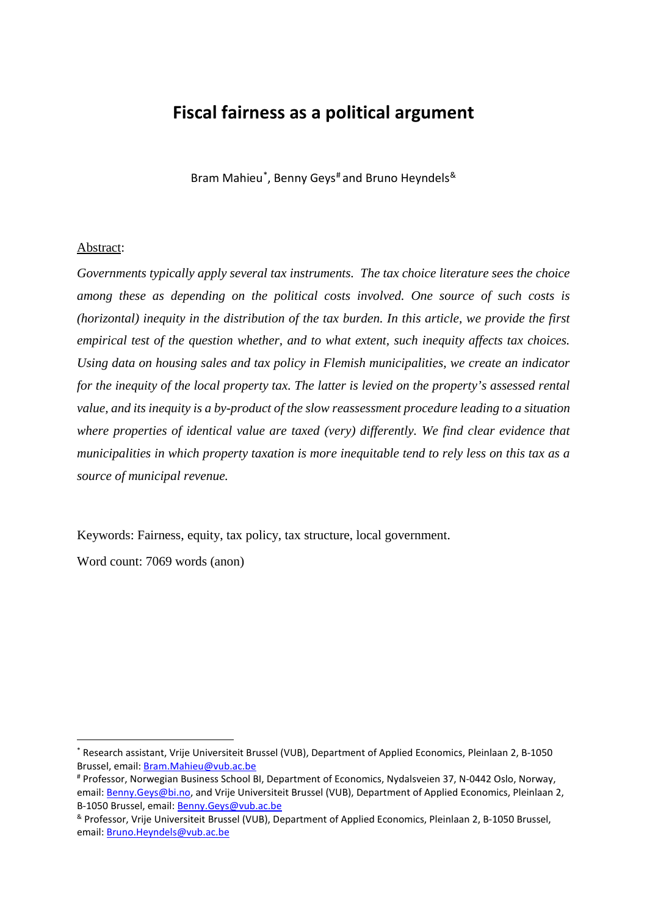# **Fiscal fairness as a political argument**

Bram Mahieu[\\*](#page-1-0), Benny Geys<sup>[#](#page-1-1)</sup> and Bruno Heyndels<sup>[&](#page-1-2)</sup>

#### Abstract:

*Governments typically apply several tax instruments. The tax choice literature sees the choice among these as depending on the political costs involved. One source of such costs is (horizontal) inequity in the distribution of the tax burden. In this article, we provide the first empirical test of the question whether, and to what extent, such inequity affects tax choices. Using data on housing sales and tax policy in Flemish municipalities, we create an indicator for the inequity of the local property tax. The latter is levied on the property's assessed rental value, and its inequity is a by-product of the slow reassessment procedure leading to a situation where properties of identical value are taxed (very) differently. We find clear evidence that municipalities in which property taxation is more inequitable tend to rely less on this tax as a source of municipal revenue.*

Keywords: Fairness, equity, tax policy, tax structure, local government.

Word count: 7069 words (anon)

 $\overline{a}$ 

<span id="page-1-0"></span><sup>\*</sup> Research assistant, Vrije Universiteit Brussel (VUB), Department of Applied Economics, Pleinlaan 2, B-1050 Brussel, email: [Bram.Mahieu@vub.ac.be](mailto:bram.mahieu@vub.ac.be?subject=)

<span id="page-1-1"></span><sup>#</sup> Professor, Norwegian Business School BI, Department of Economics, Nydalsveien 37, N-0442 Oslo, Norway, email: [Benny.Geys@bi.no,](mailto:benny.geys@bi.no?subject=) and Vrije Universiteit Brussel (VUB), Department of Applied Economics, Pleinlaan 2, B-1050 Brussel, email: [Benny.Geys@vub.ac.be](mailto:benny.Geys@vub.ac.be?subject=)

<span id="page-1-2"></span><sup>&</sup>amp; Professor, Vrije Universiteit Brussel (VUB), Department of Applied Economics, Pleinlaan 2, B-1050 Brussel, email: [Bruno.Heyndels@vub.ac.be](mailto:Bruno.Heyndels@vub.ac.be?subject=)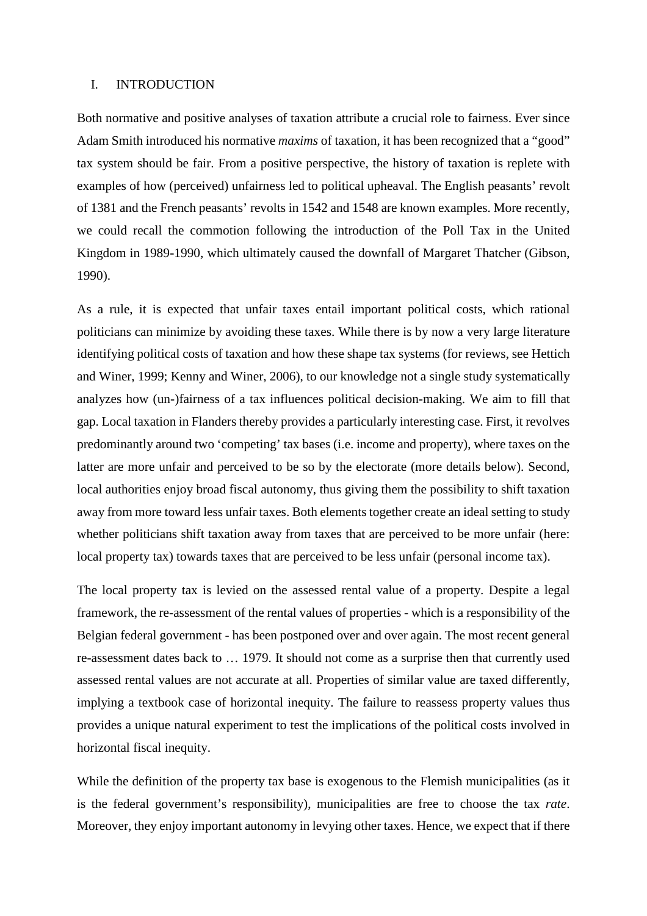#### I. INTRODUCTION

Both normative and positive analyses of taxation attribute a crucial role to fairness. Ever since Adam Smith introduced his normative *maxims* of taxation, it has been recognized that a "good" tax system should be fair. From a positive perspective, the history of taxation is replete with examples of how (perceived) unfairness led to political upheaval. The English peasants' revolt of 1381 and the French peasants' revolts in 1542 and 1548 are known examples. More recently, we could recall the commotion following the introduction of the Poll Tax in the United Kingdom in 1989-1990, which ultimately caused the downfall of Margaret Thatcher (Gibson, 1990).

As a rule, it is expected that unfair taxes entail important political costs, which rational politicians can minimize by avoiding these taxes. While there is by now a very large literature identifying political costs of taxation and how these shape tax systems (for reviews, see Hettich and Winer, 1999; Kenny and Winer, 2006), to our knowledge not a single study systematically analyzes how (un-)fairness of a tax influences political decision-making. We aim to fill that gap. Local taxation in Flanders thereby provides a particularly interesting case. First, it revolves predominantly around two 'competing' tax bases (i.e. income and property), where taxes on the latter are more unfair and perceived to be so by the electorate (more details below). Second, local authorities enjoy broad fiscal autonomy, thus giving them the possibility to shift taxation away from more toward less unfair taxes. Both elements together create an ideal setting to study whether politicians shift taxation away from taxes that are perceived to be more unfair (here: local property tax) towards taxes that are perceived to be less unfair (personal income tax).

The local property tax is levied on the assessed rental value of a property. Despite a legal framework, the re-assessment of the rental values of properties - which is a responsibility of the Belgian federal government - has been postponed over and over again. The most recent general re-assessment dates back to … 1979. It should not come as a surprise then that currently used assessed rental values are not accurate at all. Properties of similar value are taxed differently, implying a textbook case of horizontal inequity. The failure to reassess property values thus provides a unique natural experiment to test the implications of the political costs involved in horizontal fiscal inequity.

While the definition of the property tax base is exogenous to the Flemish municipalities (as it is the federal government's responsibility), municipalities are free to choose the tax *rate*. Moreover, they enjoy important autonomy in levying other taxes. Hence, we expect that if there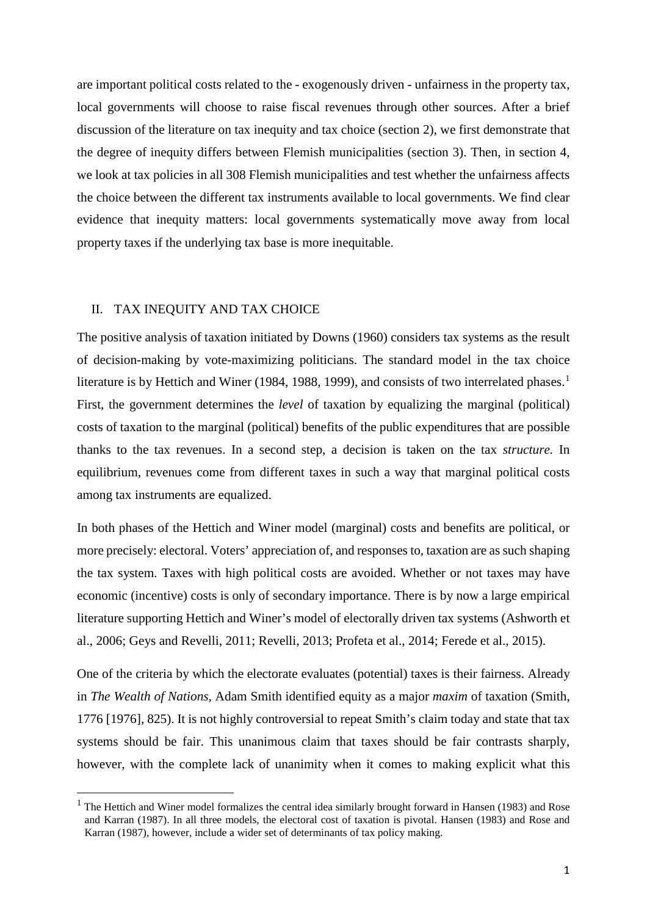are important political costs related to the - exogenously driven - unfairness in the property tax, local governments will choose to raise fiscal revenues through other sources. After a brief discussion of the literature on tax inequity and tax choice (section 2), we first demonstrate that the degree of inequity differs between Flemish municipalities (section 3). Then, in section 4, we look at tax policies in all 308 Flemish municipalities and test whether the unfairness affects the choice between the different tax instruments available to local governments. We find clear evidence that inequity matters: local governments systematically move away from local property taxes if the underlying tax base is more inequitable.

### II. TAX INEQUITY AND TAX CHOICE

The positive analysis of taxation initiated by Downs (1960) considers tax systems as the result of decision-making by vote-maximizing politicians. The standard model in the tax choice literature is by Hettich and Winer ([1](#page-3-0)984, 1988, 1999), and consists of two interrelated phases.<sup>1</sup> First, the government determines the *level* of taxation by equalizing the marginal (political) costs of taxation to the marginal (political) benefits of the public expenditures that are possible thanks to the tax revenues. In a second step, a decision is taken on the tax *structure.* In equilibrium, revenues come from different taxes in such a way that marginal political costs among tax instruments are equalized.

In both phases of the Hettich and Winer model (marginal) costs and benefits are political, or more precisely: electoral. Voters' appreciation of, and responses to, taxation are as such shaping the tax system. Taxes with high political costs are avoided. Whether or not taxes may have economic (incentive) costs is only of secondary importance. There is by now a large empirical literature supporting Hettich and Winer's model of electorally driven tax systems (Ashworth et al., 2006; Geys and Revelli, 2011; Revelli, 2013; Profeta et al., 2014; Ferede et al., 2015).

One of the criteria by which the electorate evaluates (potential) taxes is their fairness. Already in *The Wealth of Nations,* Adam Smith identified equity as a major *maxim* of taxation (Smith, 1776 [1976], 825). It is not highly controversial to repeat Smith's claim today and state that tax systems should be fair. This unanimous claim that taxes should be fair contrasts sharply, however, with the complete lack of unanimity when it comes to making explicit what this

<span id="page-3-0"></span><sup>&</sup>lt;sup>1</sup> The Hettich and Winer model formalizes the central idea similarly brought forward in Hansen (1983) and Rose and Karran (1987). In all three models, the electoral cost of taxation is pivotal. Hansen (1983) and Rose and Karran (1987), however, include a wider set of determinants of tax policy making.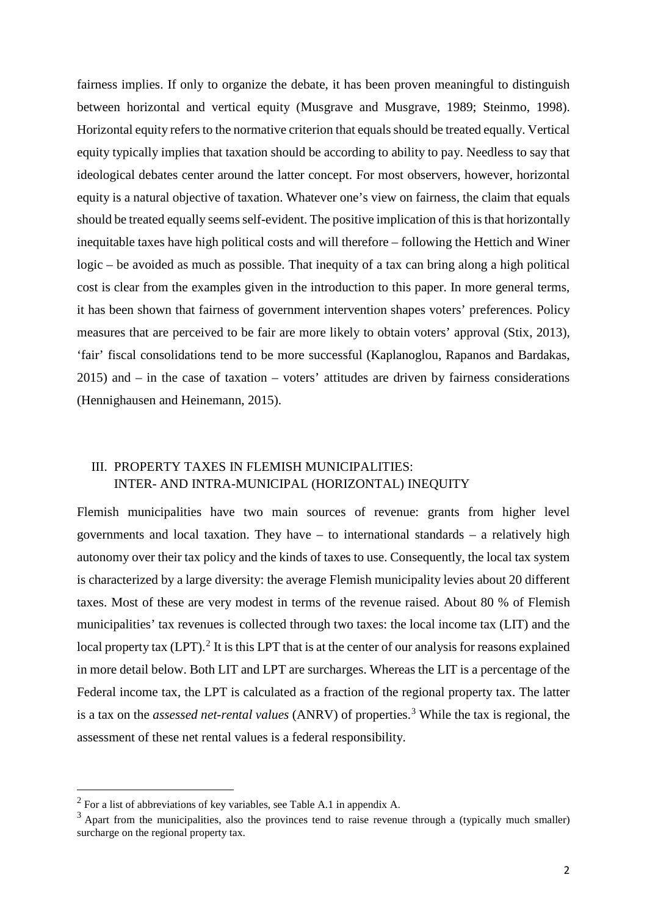fairness implies. If only to organize the debate, it has been proven meaningful to distinguish between horizontal and vertical equity (Musgrave and Musgrave, 1989; Steinmo, 1998). Horizontal equity refers to the normative criterion that equals should be treated equally. Vertical equity typically implies that taxation should be according to ability to pay. Needless to say that ideological debates center around the latter concept. For most observers, however, horizontal equity is a natural objective of taxation. Whatever one's view on fairness, the claim that equals should be treated equally seems self-evident. The positive implication of this is that horizontally inequitable taxes have high political costs and will therefore – following the Hettich and Winer logic – be avoided as much as possible. That inequity of a tax can bring along a high political cost is clear from the examples given in the introduction to this paper. In more general terms, it has been shown that fairness of government intervention shapes voters' preferences. Policy measures that are perceived to be fair are more likely to obtain voters' approval (Stix, 2013), 'fair' fiscal consolidations tend to be more successful (Kaplanoglou, Rapanos and Bardakas, 2015) and – in the case of taxation – voters' attitudes are driven by fairness considerations (Hennighausen and Heinemann, 2015).

# III. PROPERTY TAXES IN FLEMISH MUNICIPALITIES: INTER- AND INTRA-MUNICIPAL (HORIZONTAL) INEQUITY

Flemish municipalities have two main sources of revenue: grants from higher level governments and local taxation. They have  $-$  to international standards  $-$  a relatively high autonomy over their tax policy and the kinds of taxes to use. Consequently, the local tax system is characterized by a large diversity: the average Flemish municipality levies about 20 different taxes. Most of these are very modest in terms of the revenue raised. About 80 % of Flemish municipalities' tax revenues is collected through two taxes: the local income tax (LIT) and the local property tax (LPT).<sup>[2](#page-4-0)</sup> It is this LPT that is at the center of our analysis for reasons explained in more detail below. Both LIT and LPT are surcharges. Whereas the LIT is a percentage of the Federal income tax, the LPT is calculated as a fraction of the regional property tax. The latter is a tax on the *assessed net-rental values* (ANRV) of properties.[3](#page-4-1) While the tax is regional, the assessment of these net rental values is a federal responsibility.

<span id="page-4-0"></span> $2$  For a list of abbreviations of key variables, see Table A.1 in appendix A.

<span id="page-4-1"></span><sup>&</sup>lt;sup>3</sup> Apart from the municipalities, also the provinces tend to raise revenue through a (typically much smaller) surcharge on the regional property tax.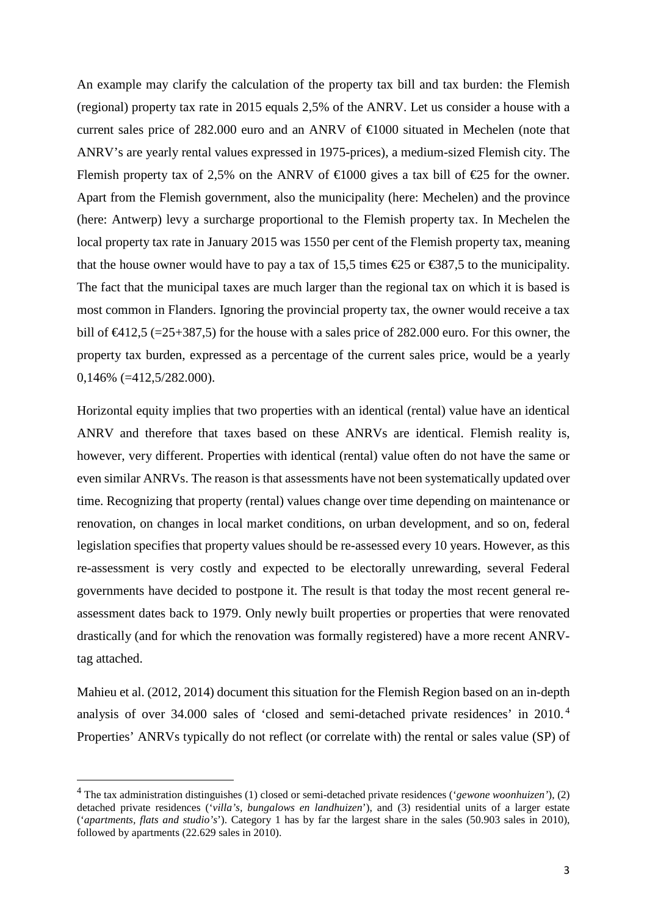An example may clarify the calculation of the property tax bill and tax burden: the Flemish (regional) property tax rate in 2015 equals 2,5% of the ANRV. Let us consider a house with a current sales price of 282.000 euro and an ANRV of €1000 situated in Mechelen (note that ANRV's are yearly rental values expressed in 1975-prices), a medium-sized Flemish city. The Flemish property tax of 2,5% on the ANRV of  $\in$ 1000 gives a tax bill of  $\in$ 25 for the owner. Apart from the Flemish government, also the municipality (here: Mechelen) and the province (here: Antwerp) levy a surcharge proportional to the Flemish property tax. In Mechelen the local property tax rate in January 2015 was 1550 per cent of the Flemish property tax, meaning that the house owner would have to pay a tax of 15,5 times  $\epsilon$ 25 or  $\epsilon$ 387,5 to the municipality. The fact that the municipal taxes are much larger than the regional tax on which it is based is most common in Flanders. Ignoring the provincial property tax, the owner would receive a tax bill of  $\infty$ 12,5 (=25+387,5) for the house with a sales price of 282.000 euro. For this owner, the property tax burden, expressed as a percentage of the current sales price, would be a yearly 0,146% (=412,5/282.000).

Horizontal equity implies that two properties with an identical (rental) value have an identical ANRV and therefore that taxes based on these ANRVs are identical. Flemish reality is, however, very different. Properties with identical (rental) value often do not have the same or even similar ANRVs. The reason is that assessments have not been systematically updated over time. Recognizing that property (rental) values change over time depending on maintenance or renovation, on changes in local market conditions, on urban development, and so on, federal legislation specifies that property values should be re-assessed every 10 years. However, as this re-assessment is very costly and expected to be electorally unrewarding, several Federal governments have decided to postpone it. The result is that today the most recent general reassessment dates back to 1979. Only newly built properties or properties that were renovated drastically (and for which the renovation was formally registered) have a more recent ANRVtag attached.

Mahieu et al. (2012, 2014) document this situation for the Flemish Region based on an in-depth analysis of over 34.000 sales of 'closed and semi-detached private residences' in 2010. [4](#page-5-0) Properties' ANRVs typically do not reflect (or correlate with) the rental or sales value (SP) of

<span id="page-5-0"></span> <sup>4</sup> The tax administration distinguishes (1) closed or semi-detached private residences ('*gewone woonhuizen'*), (2) detached private residences ('*villa's, bungalows en landhuizen*'), and (3) residential units of a larger estate ('*apartments, flats and studio's*'). Category 1 has by far the largest share in the sales (50.903 sales in 2010), followed by apartments (22.629 sales in 2010).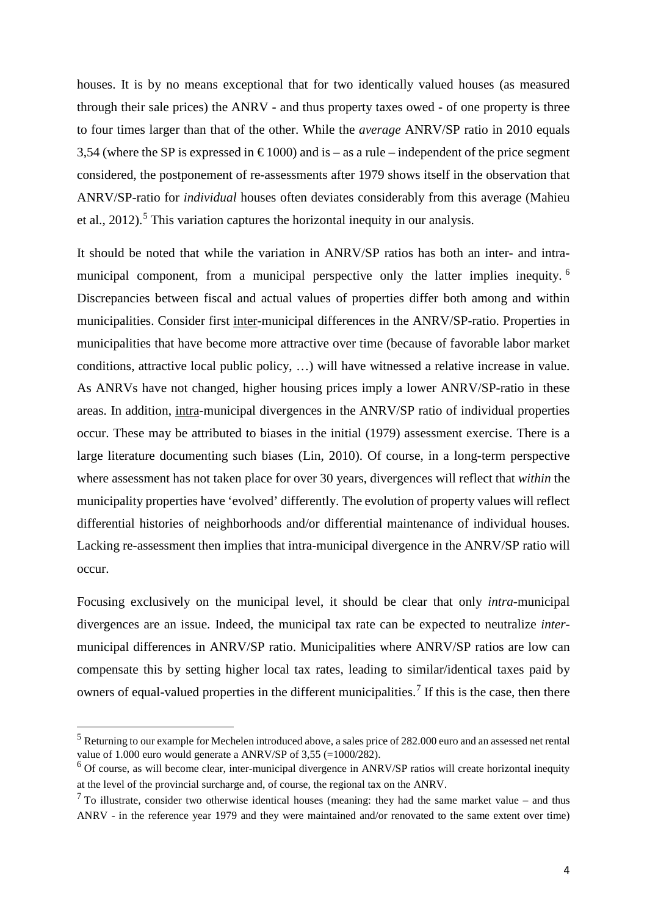houses. It is by no means exceptional that for two identically valued houses (as measured through their sale prices) the ANRV - and thus property taxes owed - of one property is three to four times larger than that of the other. While the *average* ANRV/SP ratio in 2010 equals 3,54 (where the SP is expressed in  $\epsilon$ 1000) and is – as a rule – independent of the price segment considered, the postponement of re-assessments after 1979 shows itself in the observation that ANRV/SP-ratio for *individual* houses often deviates considerably from this average (Mahieu et al.,  $2012$ ).<sup>[5](#page-6-0)</sup> This variation captures the horizontal inequity in our analysis.

It should be noted that while the variation in ANRV/SP ratios has both an inter- and intra-municipal component, from a municipal perspective only the latter implies inequity.<sup>[6](#page-6-1)</sup> Discrepancies between fiscal and actual values of properties differ both among and within municipalities. Consider first inter-municipal differences in the ANRV/SP-ratio. Properties in municipalities that have become more attractive over time (because of favorable labor market conditions, attractive local public policy, …) will have witnessed a relative increase in value. As ANRVs have not changed, higher housing prices imply a lower ANRV/SP-ratio in these areas. In addition, intra-municipal divergences in the ANRV/SP ratio of individual properties occur. These may be attributed to biases in the initial (1979) assessment exercise. There is a large literature documenting such biases (Lin, 2010). Of course, in a long-term perspective where assessment has not taken place for over 30 years, divergences will reflect that *within* the municipality properties have 'evolved' differently. The evolution of property values will reflect differential histories of neighborhoods and/or differential maintenance of individual houses. Lacking re-assessment then implies that intra-municipal divergence in the ANRV/SP ratio will occur.

Focusing exclusively on the municipal level, it should be clear that only *intra*-municipal divergences are an issue. Indeed, the municipal tax rate can be expected to neutralize *inter*municipal differences in ANRV/SP ratio. Municipalities where ANRV/SP ratios are low can compensate this by setting higher local tax rates, leading to similar/identical taxes paid by owners of equal-valued properties in the different municipalities.<sup>[7](#page-6-2)</sup> If this is the case, then there

<span id="page-6-0"></span> <sup>5</sup> Returning to our example for Mechelen introduced above, <sup>a</sup> sales price of 282.000 euro and an assessed net rental value of 1.000 euro would generate a ANRV/SP of 3,55 (=1000/282).

<span id="page-6-1"></span><sup>&</sup>lt;sup>6</sup> Of course, as will become clear, inter-municipal divergence in ANRV/SP ratios will create horizontal inequity at the level of the provincial surcharge and, of course, the regional tax on the ANRV.

<span id="page-6-2"></span> $<sup>7</sup>$  To illustrate, consider two otherwise identical houses (meaning: they had the same market value – and thus</sup> ANRV - in the reference year 1979 and they were maintained and/or renovated to the same extent over time)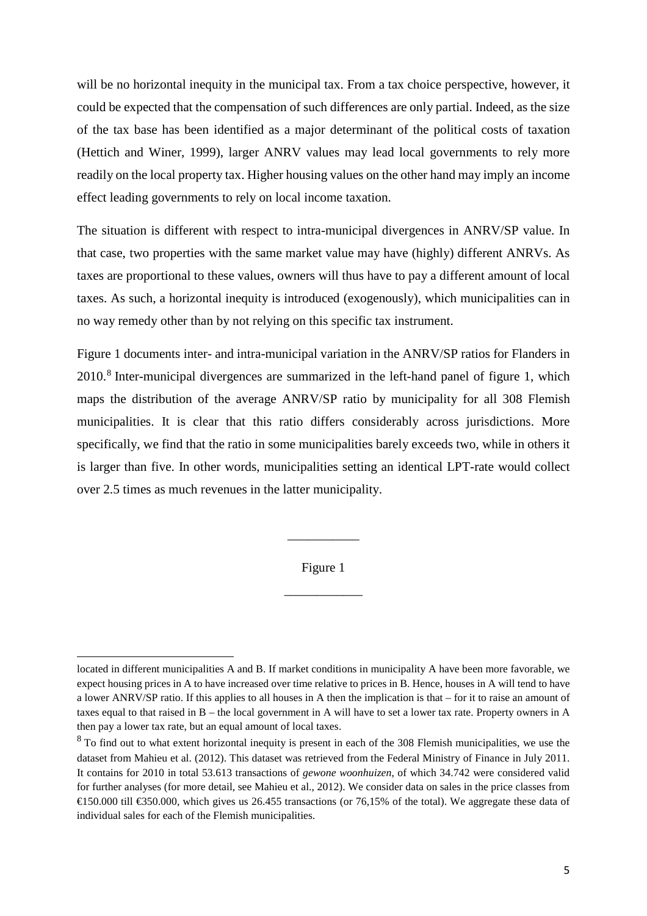will be no horizontal inequity in the municipal tax. From a tax choice perspective, however, it could be expected that the compensation of such differences are only partial. Indeed, as the size of the tax base has been identified as a major determinant of the political costs of taxation (Hettich and Winer, 1999), larger ANRV values may lead local governments to rely more readily on the local property tax. Higher housing values on the other hand may imply an income effect leading governments to rely on local income taxation.

The situation is different with respect to intra-municipal divergences in ANRV/SP value. In that case, two properties with the same market value may have (highly) different ANRVs. As taxes are proportional to these values, owners will thus have to pay a different amount of local taxes. As such, a horizontal inequity is introduced (exogenously), which municipalities can in no way remedy other than by not relying on this specific tax instrument.

Figure 1 documents inter- and intra-municipal variation in the ANRV/SP ratios for Flanders in 2010.[8](#page-7-0) Inter-municipal divergences are summarized in the left-hand panel of figure 1, which maps the distribution of the average ANRV/SP ratio by municipality for all 308 Flemish municipalities. It is clear that this ratio differs considerably across jurisdictions. More specifically, we find that the ratio in some municipalities barely exceeds two, while in others it is larger than five. In other words, municipalities setting an identical LPT-rate would collect over 2.5 times as much revenues in the latter municipality.

Figure 1

\_\_\_\_\_\_\_\_\_\_\_\_

\_\_\_\_\_\_\_\_\_\_\_

 $\overline{a}$ 

located in different municipalities A and B. If market conditions in municipality A have been more favorable, we expect housing prices in A to have increased over time relative to prices in B. Hence, houses in A will tend to have a lower ANRV/SP ratio. If this applies to all houses in A then the implication is that – for it to raise an amount of taxes equal to that raised in B – the local government in A will have to set a lower tax rate. Property owners in A then pay a lower tax rate, but an equal amount of local taxes.

<span id="page-7-0"></span> $8$  To find out to what extent horizontal inequity is present in each of the 308 Flemish municipalities, we use the dataset from Mahieu et al. (2012). This dataset was retrieved from the Federal Ministry of Finance in July 2011. It contains for 2010 in total 53.613 transactions of *gewone woonhuizen*, of which 34.742 were considered valid for further analyses (for more detail, see Mahieu et al., 2012). We consider data on sales in the price classes from €150.000 till €350.000, which gives us 26.455 transactions (or 76,15% of the total). We aggregate these data of individual sales for each of the Flemish municipalities.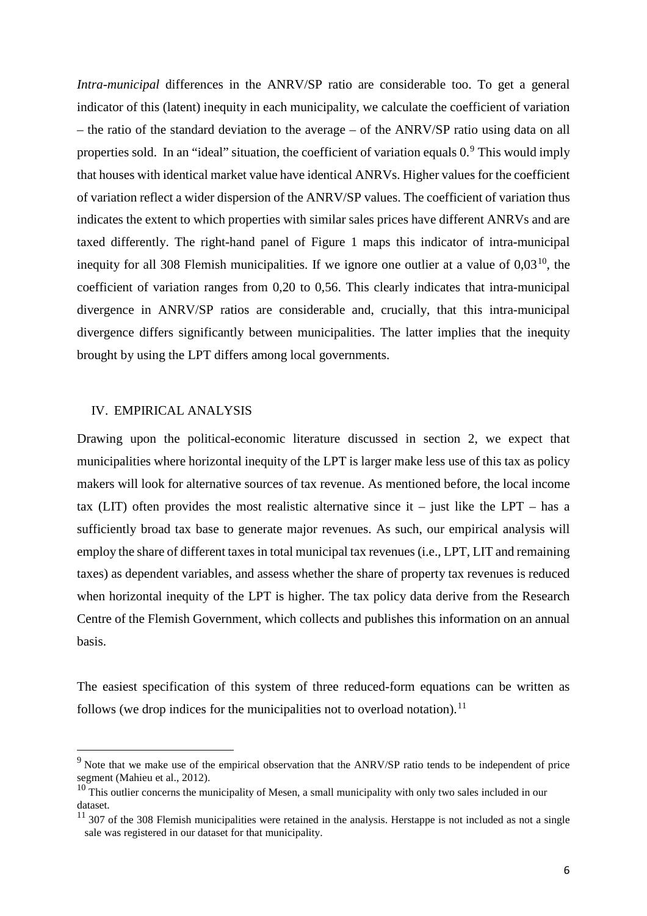*Intra-municipal* differences in the ANRV/SP ratio are considerable too. To get a general indicator of this (latent) inequity in each municipality, we calculate the coefficient of variation – the ratio of the standard deviation to the average – of the ANRV/SP ratio using data on all properties sold. In an "ideal" situation, the coefficient of variation equals  $0.9$  $0.9$  This would imply that houses with identical market value have identical ANRVs. Higher values for the coefficient of variation reflect a wider dispersion of the ANRV/SP values. The coefficient of variation thus indicates the extent to which properties with similar sales prices have different ANRVs and are taxed differently. The right-hand panel of Figure 1 maps this indicator of intra-municipal inequity for all 308 Flemish municipalities. If we ignore one outlier at a value of  $0.03^{10}$ , the coefficient of variation ranges from 0,20 to 0,56. This clearly indicates that intra-municipal divergence in ANRV/SP ratios are considerable and, crucially, that this intra-municipal divergence differs significantly between municipalities. The latter implies that the inequity brought by using the LPT differs among local governments.

## IV. EMPIRICAL ANALYSIS

Drawing upon the political-economic literature discussed in section 2, we expect that municipalities where horizontal inequity of the LPT is larger make less use of this tax as policy makers will look for alternative sources of tax revenue. As mentioned before, the local income tax (LIT) often provides the most realistic alternative since it – just like the LPT – has a sufficiently broad tax base to generate major revenues. As such, our empirical analysis will employ the share of different taxes in total municipal tax revenues (i.e., LPT, LIT and remaining taxes) as dependent variables, and assess whether the share of property tax revenues is reduced when horizontal inequity of the LPT is higher. The tax policy data derive from the Research Centre of the Flemish Government, which collects and publishes this information on an annual basis.

The easiest specification of this system of three reduced-form equations can be written as follows (we drop indices for the municipalities not to overload notation).<sup>[11](#page-8-2)</sup>

<span id="page-8-0"></span><sup>&</sup>lt;sup>9</sup> Note that we make use of the empirical observation that the ANRV/SP ratio tends to be independent of price segment (Mahieu et al., 2012).

<span id="page-8-1"></span> $10$  This outlier concerns the municipality of Mesen, a small municipality with only two sales included in our dataset.

<span id="page-8-2"></span> $11$  307 of the 308 Flemish municipalities were retained in the analysis. Herstappe is not included as not a single sale was registered in our dataset for that municipality.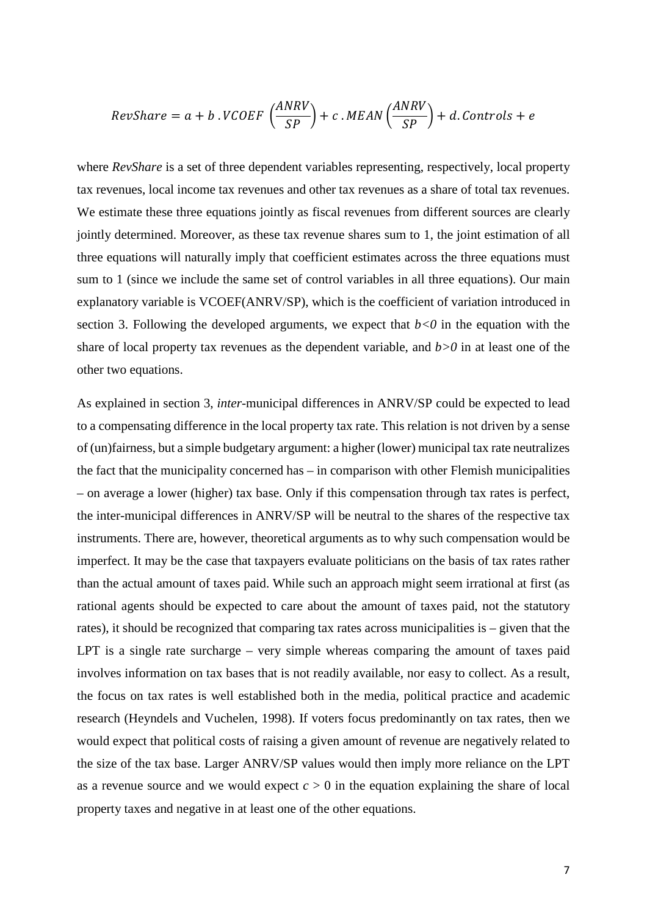$$
RevShare = a + b \cdot VCOEF\left(\frac{ANRV}{SP}\right) + c \cdot MEAN\left(\frac{ANRV}{SP}\right) + d \cdot Controls + e
$$

where *RevShare* is a set of three dependent variables representing, respectively, local property tax revenues, local income tax revenues and other tax revenues as a share of total tax revenues. We estimate these three equations jointly as fiscal revenues from different sources are clearly jointly determined. Moreover, as these tax revenue shares sum to 1, the joint estimation of all three equations will naturally imply that coefficient estimates across the three equations must sum to 1 (since we include the same set of control variables in all three equations). Our main explanatory variable is VCOEF(ANRV/SP), which is the coefficient of variation introduced in section 3. Following the developed arguments, we expect that  $b < 0$  in the equation with the share of local property tax revenues as the dependent variable, and *b>0* in at least one of the other two equations.

As explained in section 3, *inter*-municipal differences in ANRV/SP could be expected to lead to a compensating difference in the local property tax rate. This relation is not driven by a sense of (un)fairness, but a simple budgetary argument: a higher (lower) municipal tax rate neutralizes the fact that the municipality concerned has – in comparison with other Flemish municipalities – on average a lower (higher) tax base. Only if this compensation through tax rates is perfect, the inter-municipal differences in ANRV/SP will be neutral to the shares of the respective tax instruments. There are, however, theoretical arguments as to why such compensation would be imperfect. It may be the case that taxpayers evaluate politicians on the basis of tax rates rather than the actual amount of taxes paid. While such an approach might seem irrational at first (as rational agents should be expected to care about the amount of taxes paid, not the statutory rates), it should be recognized that comparing tax rates across municipalities is – given that the LPT is a single rate surcharge – very simple whereas comparing the amount of taxes paid involves information on tax bases that is not readily available, nor easy to collect. As a result, the focus on tax rates is well established both in the media, political practice and academic research (Heyndels and Vuchelen, 1998). If voters focus predominantly on tax rates, then we would expect that political costs of raising a given amount of revenue are negatively related to the size of the tax base. Larger ANRV/SP values would then imply more reliance on the LPT as a revenue source and we would expect  $c > 0$  in the equation explaining the share of local property taxes and negative in at least one of the other equations.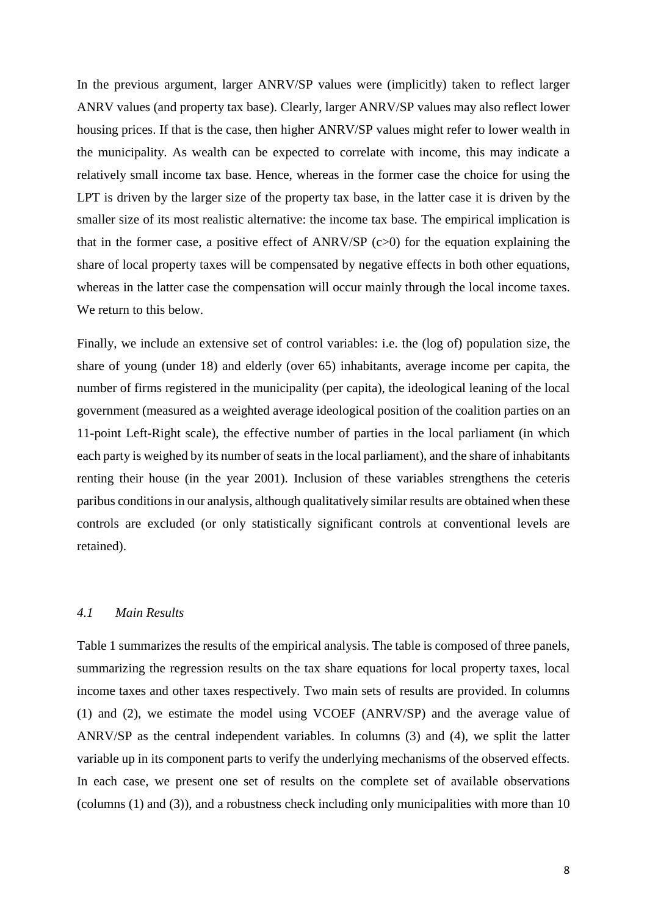In the previous argument, larger ANRV/SP values were (implicitly) taken to reflect larger ANRV values (and property tax base). Clearly, larger ANRV/SP values may also reflect lower housing prices. If that is the case, then higher ANRV/SP values might refer to lower wealth in the municipality. As wealth can be expected to correlate with income, this may indicate a relatively small income tax base. Hence, whereas in the former case the choice for using the LPT is driven by the larger size of the property tax base, in the latter case it is driven by the smaller size of its most realistic alternative: the income tax base. The empirical implication is that in the former case, a positive effect of ANRV/SP (c>0) for the equation explaining the share of local property taxes will be compensated by negative effects in both other equations, whereas in the latter case the compensation will occur mainly through the local income taxes. We return to this below.

Finally, we include an extensive set of control variables: i.e. the (log of) population size, the share of young (under 18) and elderly (over 65) inhabitants, average income per capita, the number of firms registered in the municipality (per capita), the ideological leaning of the local government (measured as a weighted average ideological position of the coalition parties on an 11-point Left-Right scale), the effective number of parties in the local parliament (in which each party is weighed by its number of seats in the local parliament), and the share of inhabitants renting their house (in the year 2001). Inclusion of these variables strengthens the ceteris paribus conditions in our analysis, although qualitatively similar results are obtained when these controls are excluded (or only statistically significant controls at conventional levels are retained).

## *4.1 Main Results*

Table 1 summarizes the results of the empirical analysis. The table is composed of three panels, summarizing the regression results on the tax share equations for local property taxes, local income taxes and other taxes respectively. Two main sets of results are provided. In columns (1) and (2), we estimate the model using VCOEF (ANRV/SP) and the average value of ANRV/SP as the central independent variables. In columns (3) and (4), we split the latter variable up in its component parts to verify the underlying mechanisms of the observed effects. In each case, we present one set of results on the complete set of available observations (columns (1) and (3)), and a robustness check including only municipalities with more than 10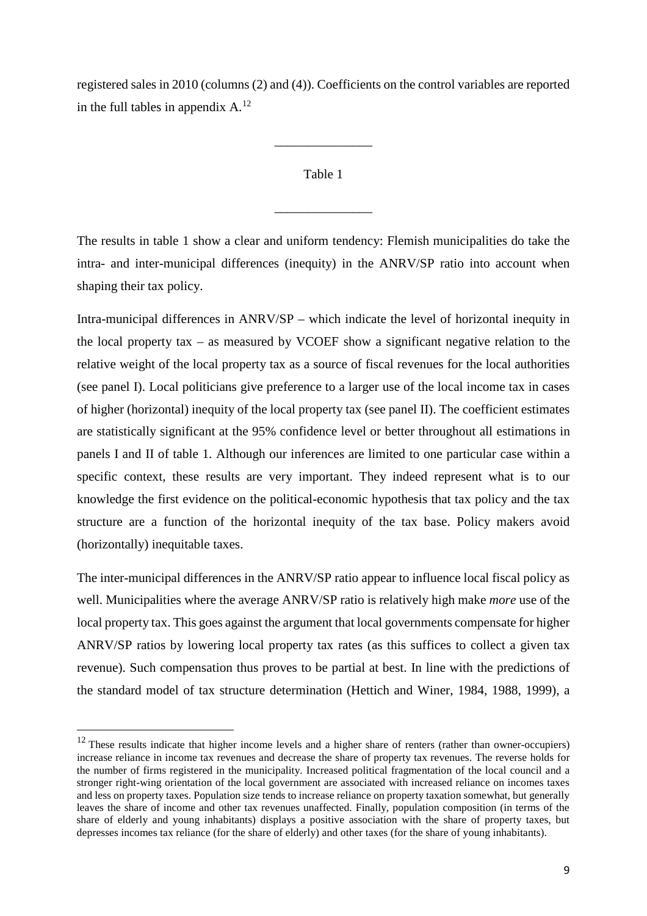registered sales in 2010 (columns (2) and (4)). Coefficients on the control variables are reported in the full tables in appendix  $A^{12}$  $A^{12}$  $A^{12}$ .

# Table 1

\_\_\_\_\_\_\_\_\_\_\_\_\_\_\_

\_\_\_\_\_\_\_\_\_\_\_\_\_\_\_

The results in table 1 show a clear and uniform tendency: Flemish municipalities do take the intra- and inter-municipal differences (inequity) in the ANRV/SP ratio into account when shaping their tax policy.

Intra-municipal differences in ANRV/SP – which indicate the level of horizontal inequity in the local property tax – as measured by VCOEF show a significant negative relation to the relative weight of the local property tax as a source of fiscal revenues for the local authorities (see panel I). Local politicians give preference to a larger use of the local income tax in cases of higher (horizontal) inequity of the local property tax (see panel II). The coefficient estimates are statistically significant at the 95% confidence level or better throughout all estimations in panels I and II of table 1. Although our inferences are limited to one particular case within a specific context, these results are very important. They indeed represent what is to our knowledge the first evidence on the political-economic hypothesis that tax policy and the tax structure are a function of the horizontal inequity of the tax base. Policy makers avoid (horizontally) inequitable taxes.

The inter-municipal differences in the ANRV/SP ratio appear to influence local fiscal policy as well. Municipalities where the average ANRV/SP ratio is relatively high make *more* use of the local property tax. This goes against the argument that local governments compensate for higher ANRV/SP ratios by lowering local property tax rates (as this suffices to collect a given tax revenue). Such compensation thus proves to be partial at best. In line with the predictions of the standard model of tax structure determination (Hettich and Winer, 1984, 1988, 1999), a

<span id="page-11-0"></span><sup>&</sup>lt;sup>12</sup> These results indicate that higher income levels and a higher share of renters (rather than owner-occupiers) increase reliance in income tax revenues and decrease the share of property tax revenues. The reverse holds for the number of firms registered in the municipality. Increased political fragmentation of the local council and a stronger right-wing orientation of the local government are associated with increased reliance on incomes taxes and less on property taxes. Population size tends to increase reliance on property taxation somewhat, but generally leaves the share of income and other tax revenues unaffected. Finally, population composition (in terms of the share of elderly and young inhabitants) displays a positive association with the share of property taxes, but depresses incomes tax reliance (for the share of elderly) and other taxes (for the share of young inhabitants).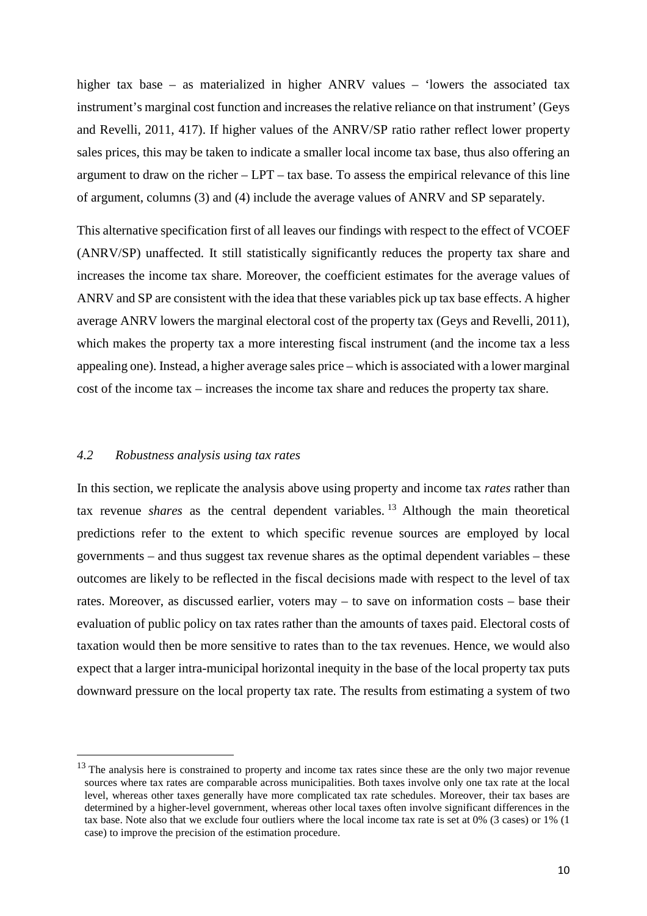higher tax base – as materialized in higher ANRV values – 'lowers the associated tax instrument's marginal cost function and increases the relative reliance on that instrument' (Geys) and Revelli, 2011, 417). If higher values of the ANRV/SP ratio rather reflect lower property sales prices, this may be taken to indicate a smaller local income tax base, thus also offering an argument to draw on the richer – LPT – tax base. To assess the empirical relevance of this line of argument, columns (3) and (4) include the average values of ANRV and SP separately.

This alternative specification first of all leaves our findings with respect to the effect of VCOEF (ANRV/SP) unaffected. It still statistically significantly reduces the property tax share and increases the income tax share. Moreover, the coefficient estimates for the average values of ANRV and SP are consistent with the idea that these variables pick up tax base effects. A higher average ANRV lowers the marginal electoral cost of the property tax (Geys and Revelli, 2011), which makes the property tax a more interesting fiscal instrument (and the income tax a less appealing one). Instead, a higher average sales price – which is associated with a lower marginal cost of the income tax – increases the income tax share and reduces the property tax share.

### *4.2 Robustness analysis using tax rates*

In this section, we replicate the analysis above using property and income tax *rates* rather than tax revenue *shares* as the central dependent variables.<sup>[13](#page-12-0)</sup> Although the main theoretical predictions refer to the extent to which specific revenue sources are employed by local governments – and thus suggest tax revenue shares as the optimal dependent variables – these outcomes are likely to be reflected in the fiscal decisions made with respect to the level of tax rates. Moreover, as discussed earlier, voters may – to save on information costs – base their evaluation of public policy on tax rates rather than the amounts of taxes paid. Electoral costs of taxation would then be more sensitive to rates than to the tax revenues. Hence, we would also expect that a larger intra-municipal horizontal inequity in the base of the local property tax puts downward pressure on the local property tax rate. The results from estimating a system of two

<span id="page-12-0"></span><sup>&</sup>lt;sup>13</sup> The analysis here is constrained to property and income tax rates since these are the only two major revenue sources where tax rates are comparable across municipalities. Both taxes involve only one tax rate at the local level, whereas other taxes generally have more complicated tax rate schedules. Moreover, their tax bases are determined by a higher-level government, whereas other local taxes often involve significant differences in the tax base. Note also that we exclude four outliers where the local income tax rate is set at 0% (3 cases) or 1% (1 case) to improve the precision of the estimation procedure.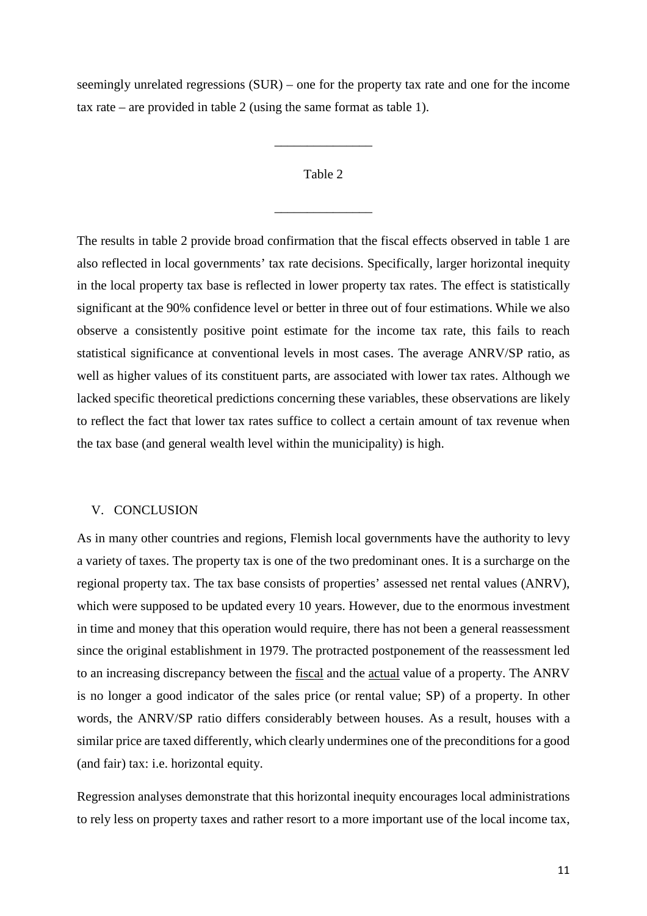seemingly unrelated regressions (SUR) – one for the property tax rate and one for the income tax rate – are provided in table 2 (using the same format as table 1).

## Table 2

\_\_\_\_\_\_\_\_\_\_\_\_\_\_\_

\_\_\_\_\_\_\_\_\_\_\_\_\_\_\_

The results in table 2 provide broad confirmation that the fiscal effects observed in table 1 are also reflected in local governments' tax rate decisions. Specifically, larger horizontal inequity in the local property tax base is reflected in lower property tax rates. The effect is statistically significant at the 90% confidence level or better in three out of four estimations. While we also observe a consistently positive point estimate for the income tax rate, this fails to reach statistical significance at conventional levels in most cases. The average ANRV/SP ratio, as well as higher values of its constituent parts, are associated with lower tax rates. Although we lacked specific theoretical predictions concerning these variables, these observations are likely to reflect the fact that lower tax rates suffice to collect a certain amount of tax revenue when the tax base (and general wealth level within the municipality) is high.

#### V. CONCLUSION

As in many other countries and regions, Flemish local governments have the authority to levy a variety of taxes. The property tax is one of the two predominant ones. It is a surcharge on the regional property tax. The tax base consists of properties' assessed net rental values (ANRV), which were supposed to be updated every 10 years. However, due to the enormous investment in time and money that this operation would require, there has not been a general reassessment since the original establishment in 1979. The protracted postponement of the reassessment led to an increasing discrepancy between the fiscal and the actual value of a property. The ANRV is no longer a good indicator of the sales price (or rental value; SP) of a property. In other words, the ANRV/SP ratio differs considerably between houses. As a result, houses with a similar price are taxed differently, which clearly undermines one of the preconditions for a good (and fair) tax: i.e. horizontal equity.

Regression analyses demonstrate that this horizontal inequity encourages local administrations to rely less on property taxes and rather resort to a more important use of the local income tax,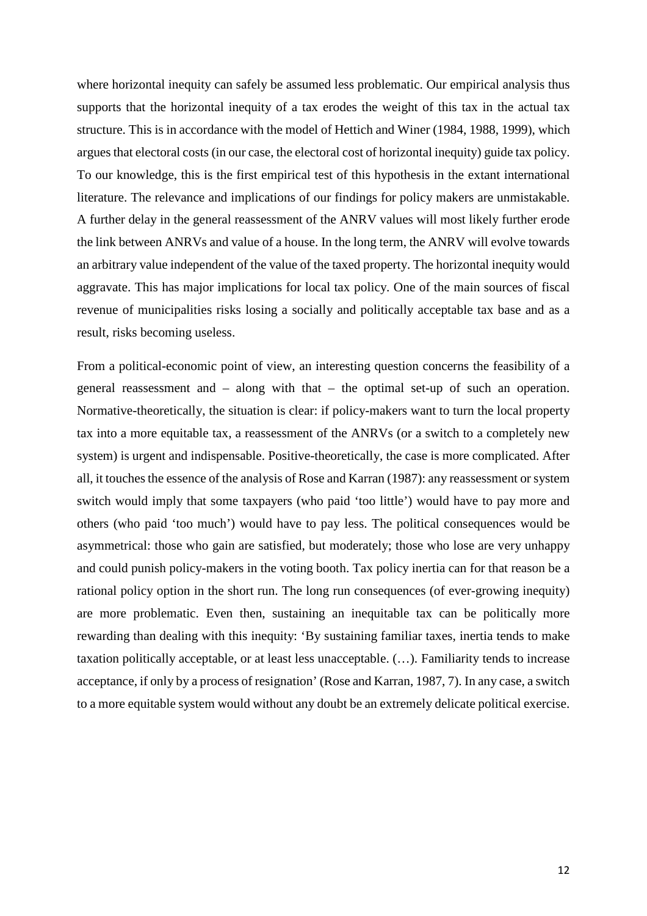where horizontal inequity can safely be assumed less problematic. Our empirical analysis thus supports that the horizontal inequity of a tax erodes the weight of this tax in the actual tax structure. This is in accordance with the model of Hettich and Winer (1984, 1988, 1999), which arguesthat electoral costs (in our case, the electoral cost of horizontal inequity) guide tax policy. To our knowledge, this is the first empirical test of this hypothesis in the extant international literature. The relevance and implications of our findings for policy makers are unmistakable. A further delay in the general reassessment of the ANRV values will most likely further erode the link between ANRVs and value of a house. In the long term, the ANRV will evolve towards an arbitrary value independent of the value of the taxed property. The horizontal inequity would aggravate. This has major implications for local tax policy. One of the main sources of fiscal revenue of municipalities risks losing a socially and politically acceptable tax base and as a result, risks becoming useless.

From a political-economic point of view, an interesting question concerns the feasibility of a general reassessment and – along with that – the optimal set-up of such an operation. Normative-theoretically, the situation is clear: if policy-makers want to turn the local property tax into a more equitable tax, a reassessment of the ANRVs (or a switch to a completely new system) is urgent and indispensable. Positive-theoretically, the case is more complicated. After all, it touches the essence of the analysis of Rose and Karran (1987): any reassessment or system switch would imply that some taxpayers (who paid 'too little') would have to pay more and others (who paid 'too much') would have to pay less. The political consequences would be asymmetrical: those who gain are satisfied, but moderately; those who lose are very unhappy and could punish policy-makers in the voting booth. Tax policy inertia can for that reason be a rational policy option in the short run. The long run consequences (of ever-growing inequity) are more problematic. Even then, sustaining an inequitable tax can be politically more rewarding than dealing with this inequity: 'By sustaining familiar taxes, inertia tends to make taxation politically acceptable, or at least less unacceptable. (…). Familiarity tends to increase acceptance, if only by a process of resignation' (Rose and Karran, 1987, 7). In any case, a switch to a more equitable system would without any doubt be an extremely delicate political exercise.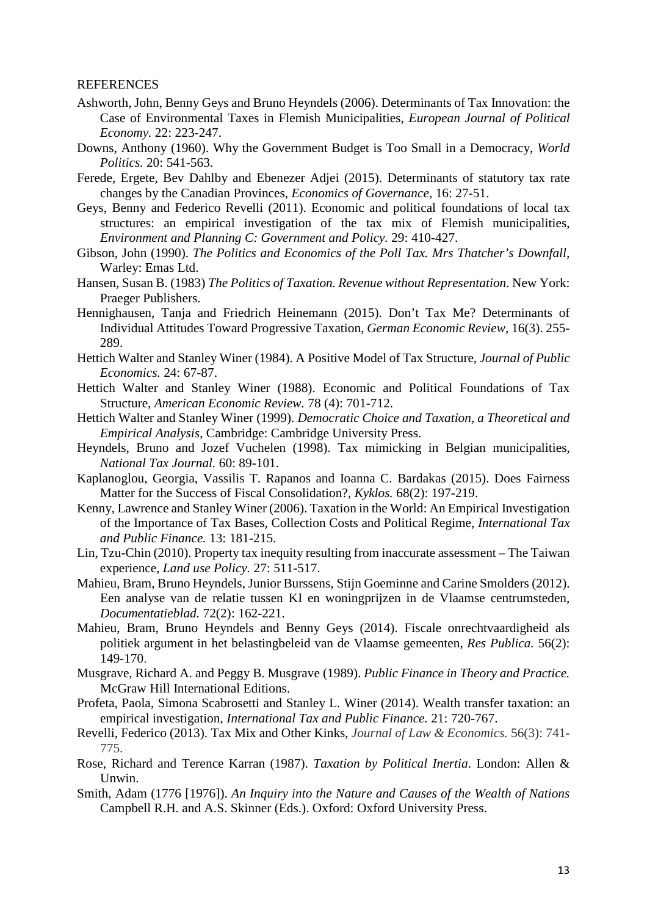#### REFERENCES

- Ashworth, John, Benny Geys and Bruno Heyndels (2006). Determinants of Tax Innovation: the Case of Environmental Taxes in Flemish Municipalities, *European Journal of Political Economy.* 22: 223-247.
- Downs, Anthony (1960). Why the Government Budget is Too Small in a Democracy, *World Politics.* 20: 541-563.
- Ferede, Ergete, Bev Dahlby and Ebenezer Adjei (2015). Determinants of statutory tax rate changes by the Canadian Provinces, *Economics of Governance*, 16: 27-51.
- Geys, Benny and Federico Revelli (2011). Economic and political foundations of local tax structures: an empirical investigation of the tax mix of Flemish municipalities, *Environment and Planning C: Government and Policy.* 29: 410-427.
- Gibson, John (1990). *The Politics and Economics of the Poll Tax. Mrs Thatcher's Downfall,* Warley: Emas Ltd.
- Hansen, Susan B. (1983) *The Politics of Taxation. Revenue without Representation*. New York: Praeger Publishers.
- Hennighausen, Tanja and Friedrich Heinemann (2015). Don't Tax Me? Determinants of Individual Attitudes Toward Progressive Taxation, *German Economic Review*, 16(3). 255- 289.
- Hettich Walter and Stanley Winer (1984). A Positive Model of Tax Structure, *Journal of Public Economics.* 24: 67-87.
- Hettich Walter and Stanley Winer (1988). Economic and Political Foundations of Tax Structure, *American Economic Review.* 78 (4): 701-712.
- Hettich Walter and Stanley Winer (1999). *Democratic Choice and Taxation, a Theoretical and Empirical Analysis*, Cambridge: Cambridge University Press.
- Heyndels, Bruno and Jozef Vuchelen (1998). Tax mimicking in Belgian municipalities, *National Tax Journal.* 60: 89-101.
- Kaplanoglou, Georgia, Vassilis T. Rapanos and Ioanna C. Bardakas (2015). Does Fairness Matter for the Success of Fiscal Consolidation?, *Kyklos.* 68(2): 197-219.
- Kenny, Lawrence and Stanley Winer (2006). Taxation in the World: An Empirical Investigation of the Importance of Tax Bases, Collection Costs and Political Regime, *International Tax and Public Finance.* 13: 181-215.
- Lin, Tzu-Chin (2010). Property tax inequity resulting from inaccurate assessment The Taiwan experience, *Land use Policy.* 27: 511-517.
- Mahieu, Bram, Bruno Heyndels, Junior Burssens, Stijn Goeminne and Carine Smolders (2012). Een analyse van de relatie tussen KI en woningprijzen in de Vlaamse centrumsteden, *Documentatieblad.* 72(2): 162-221.
- Mahieu, Bram, Bruno Heyndels and Benny Geys (2014). Fiscale onrechtvaardigheid als politiek argument in het belastingbeleid van de Vlaamse gemeenten, *Res Publica.* 56(2): 149-170.
- Musgrave, Richard A. and Peggy B. Musgrave (1989). *Public Finance in Theory and Practice.* McGraw Hill International Editions.
- Profeta, Paola, Simona Scabrosetti and Stanley L. Winer (2014). Wealth transfer taxation: an empirical investigation, *International Tax and Public Finance.* 21: 720-767.
- Revelli, Federico (2013). Tax Mix and Other Kinks, *Journal of Law & Economics.* 56(3): 741- 775.
- Rose, Richard and Terence Karran (1987). *Taxation by Political Inertia*. London: Allen & Unwin.
- Smith, Adam (1776 [1976]). *An Inquiry into the Nature and Causes of the Wealth of Nations* Campbell R.H. and A.S. Skinner (Eds.). Oxford: Oxford University Press.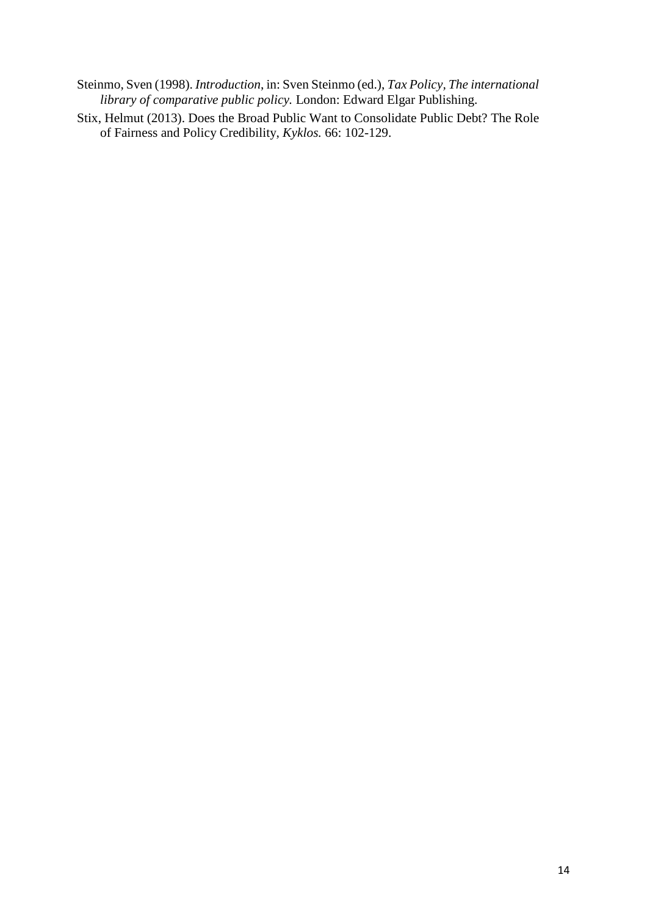- Steinmo, Sven (1998). *Introduction*, in: Sven Steinmo (ed.), *Tax Policy, The international library of comparative public policy.* London: Edward Elgar Publishing.
- Stix, Helmut (2013). Does the Broad Public Want to Consolidate Public Debt? The Role of Fairness and Policy Credibility, *Kyklos.* 66: 102-129.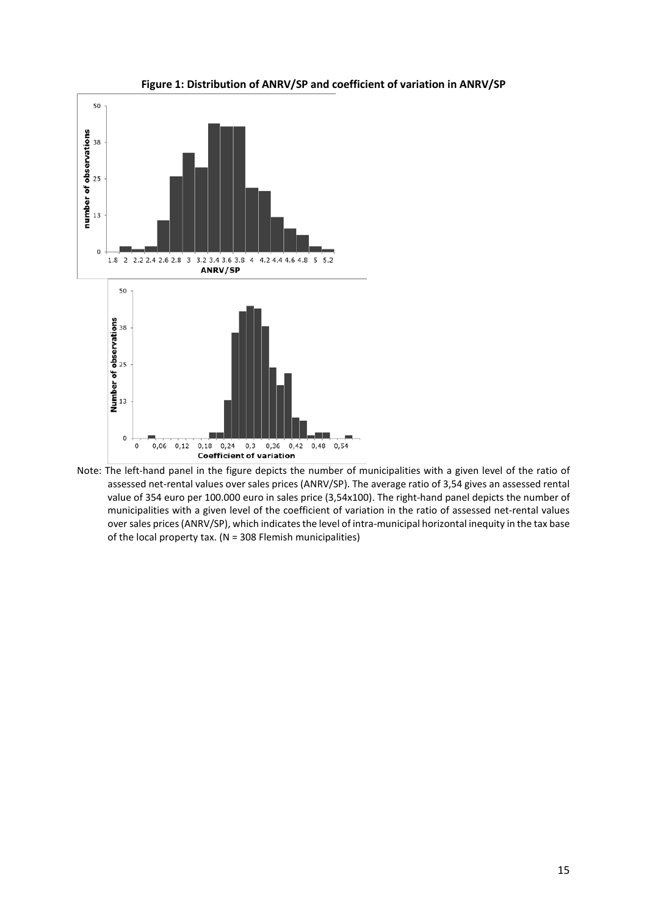

#### **Figure 1: Distribution of ANRV/SP and coefficient of variation in ANRV/SP**

Note: The left-hand panel in the figure depicts the number of municipalities with a given level of the ratio of assessed net-rental values over sales prices (ANRV/SP). The average ratio of 3,54 gives an assessed rental value of 354 euro per 100.000 euro in sales price (3,54x100). The right-hand panel depicts the number of municipalities with a given level of the coefficient of variation in the ratio of assessed net-rental values over sales prices (ANRV/SP), which indicates the level of intra-municipal horizontal inequity in the tax base of the local property tax. ( $N = 308$  Flemish municipalities)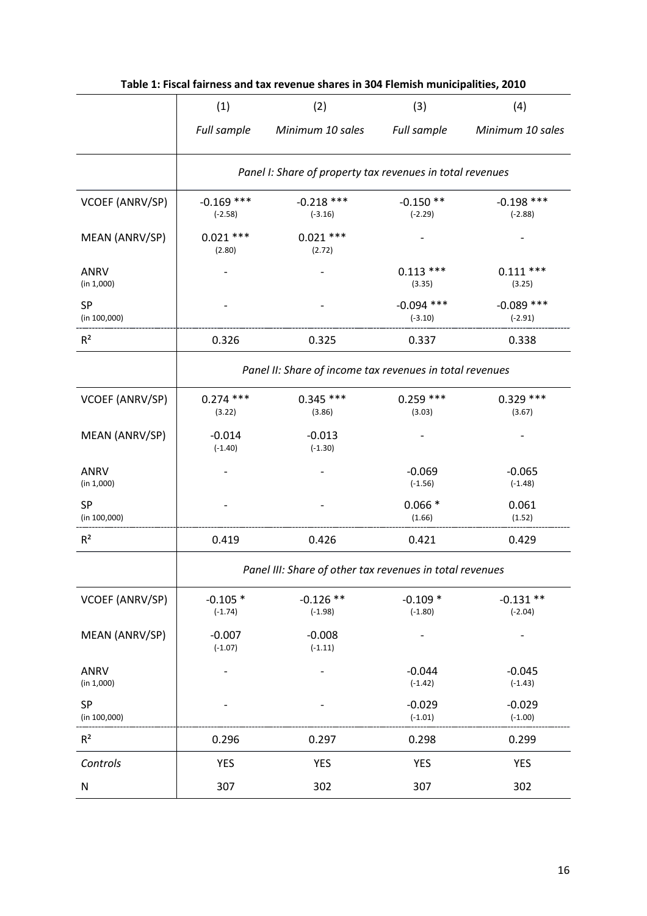| Table 1: Fiscal fairness and tax revenue shares in 304 Flemish municipalities, 2010 |                                                           |                           |                           |                           |  |  |  |
|-------------------------------------------------------------------------------------|-----------------------------------------------------------|---------------------------|---------------------------|---------------------------|--|--|--|
|                                                                                     | (1)                                                       | (2)                       | (3)                       | (4)                       |  |  |  |
|                                                                                     | Full sample                                               | Minimum 10 sales          | Full sample               | Minimum 10 sales          |  |  |  |
|                                                                                     | Panel I: Share of property tax revenues in total revenues |                           |                           |                           |  |  |  |
| VCOEF (ANRV/SP)                                                                     | $-0.169$ ***<br>$(-2.58)$                                 | $-0.218$ ***<br>$(-3.16)$ | $-0.150**$<br>$(-2.29)$   | $-0.198$ ***<br>$(-2.88)$ |  |  |  |
| MEAN (ANRV/SP)                                                                      | $0.021$ ***<br>(2.80)                                     | $0.021$ ***<br>(2.72)     |                           |                           |  |  |  |
| <b>ANRV</b><br>(in 1,000)                                                           |                                                           |                           | $0.113***$<br>(3.35)      | $0.111***$<br>(3.25)      |  |  |  |
| <b>SP</b><br>(in 100,000)                                                           |                                                           |                           | $-0.094$ ***<br>$(-3.10)$ | $-0.089$ ***<br>$(-2.91)$ |  |  |  |
| $R^2$                                                                               | 0.326                                                     | 0.325                     | 0.337                     | 0.338                     |  |  |  |
|                                                                                     | Panel II: Share of income tax revenues in total revenues  |                           |                           |                           |  |  |  |
| VCOEF (ANRV/SP)                                                                     | $0.274$ ***<br>(3.22)                                     | $0.345$ ***<br>(3.86)     | $0.259$ ***<br>(3.03)     | $0.329$ ***<br>(3.67)     |  |  |  |
| MEAN (ANRV/SP)                                                                      | $-0.014$<br>$(-1.40)$                                     | $-0.013$<br>$(-1.30)$     |                           |                           |  |  |  |
| <b>ANRV</b><br>(in 1,000)                                                           |                                                           |                           | $-0.069$<br>$(-1.56)$     | $-0.065$<br>$(-1.48)$     |  |  |  |
| <b>SP</b><br>(in 100,000)                                                           |                                                           |                           | $0.066*$<br>(1.66)        | 0.061<br>(1.52)           |  |  |  |
| $R^2$                                                                               | 0.419                                                     | 0.426                     | 0.421                     | 0.429                     |  |  |  |
|                                                                                     | Panel III: Share of other tax revenues in total revenues  |                           |                           |                           |  |  |  |
| <b>VCOEF (ANRV/SP)</b>                                                              | $-0.105*$<br>$(-1.74)$                                    | $-0.126$ **<br>$(-1.98)$  | $-0.109*$<br>$(-1.80)$    | $-0.131**$<br>$(-2.04)$   |  |  |  |
| MEAN (ANRV/SP)                                                                      | $-0.007$<br>$(-1.07)$                                     | $-0.008$<br>$(-1.11)$     |                           |                           |  |  |  |
| <b>ANRV</b><br>(in 1,000)                                                           |                                                           |                           | $-0.044$<br>$(-1.42)$     | $-0.045$<br>$(-1.43)$     |  |  |  |
| <b>SP</b><br>(in 100,000)                                                           |                                                           |                           | $-0.029$<br>$(-1.01)$     | $-0.029$<br>$(-1.00)$     |  |  |  |
| R <sup>2</sup>                                                                      | 0.296                                                     | 0.297                     | 0.298                     | 0.299                     |  |  |  |
| Controls                                                                            | YES                                                       | YES                       | <b>YES</b>                | YES                       |  |  |  |
| N                                                                                   | 307                                                       | 302                       | 307                       | 302                       |  |  |  |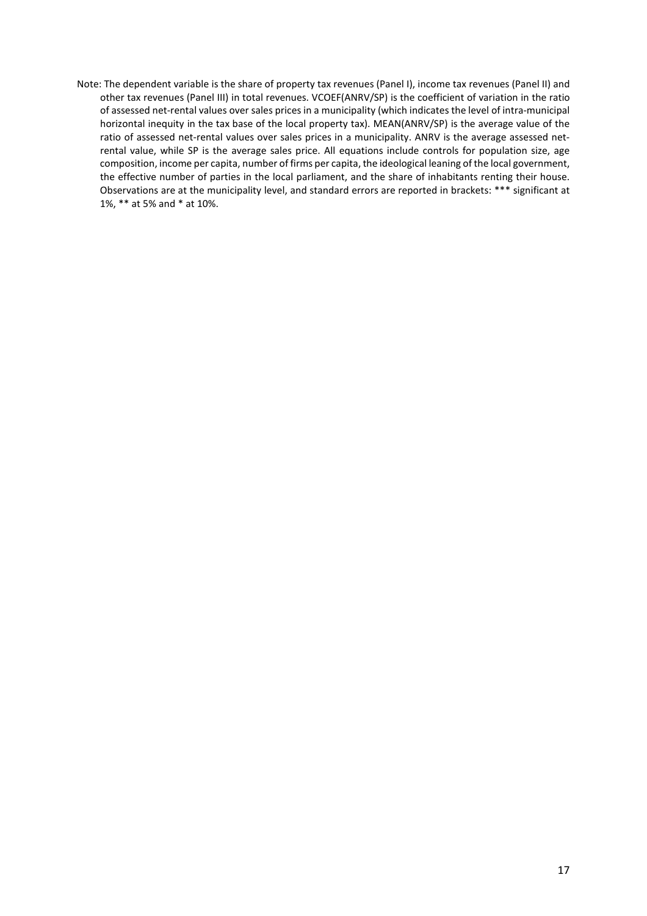Note: The dependent variable is the share of property tax revenues (Panel I), income tax revenues (Panel II) and other tax revenues (Panel III) in total revenues. VCOEF(ANRV/SP) is the coefficient of variation in the ratio of assessed net-rental values over sales prices in a municipality (which indicates the level of intra-municipal horizontal inequity in the tax base of the local property tax). MEAN(ANRV/SP) is the average value of the ratio of assessed net-rental values over sales prices in a municipality. ANRV is the average assessed netrental value, while SP is the average sales price. All equations include controls for population size, age composition, income per capita, number of firms per capita, the ideological leaning of the local government, the effective number of parties in the local parliament, and the share of inhabitants renting their house. Observations are at the municipality level, and standard errors are reported in brackets: \*\*\* significant at 1%, \*\* at 5% and \* at 10%.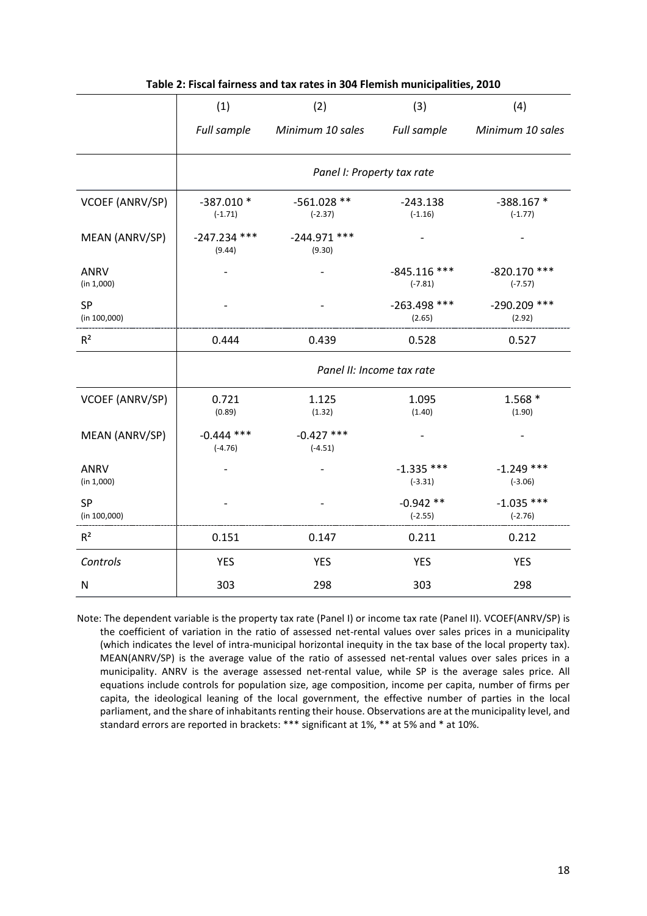|                           | (1)                        | (2)                        | (3)                         | (4)                         |  |
|---------------------------|----------------------------|----------------------------|-----------------------------|-----------------------------|--|
|                           | Full sample                | Minimum 10 sales           | Full sample                 | Minimum 10 sales            |  |
|                           | Panel I: Property tax rate |                            |                             |                             |  |
| VCOEF (ANRV/SP)           | -387.010 *<br>$(-1.71)$    | $-561.028$ **<br>$(-2.37)$ | $-243.138$<br>$(-1.16)$     | $-388.167*$<br>$(-1.77)$    |  |
| MEAN (ANRV/SP)            | $-247.234$ ***<br>(9.44)   | $-244.971$ ***<br>(9.30)   |                             |                             |  |
| <b>ANRV</b><br>(in 1,000) |                            |                            | $-845.116$ ***<br>$(-7.81)$ | $-820.170$ ***<br>$(-7.57)$ |  |
| <b>SP</b><br>(in 100,000) |                            |                            | $-263.498$ ***<br>(2.65)    | -290.209 ***<br>(2.92)      |  |
| R <sup>2</sup>            | 0.444                      | 0.439                      | 0.528                       | 0.527                       |  |
|                           | Panel II: Income tax rate  |                            |                             |                             |  |
| VCOEF (ANRV/SP)           | 0.721<br>(0.89)            | 1.125<br>(1.32)            | 1.095<br>(1.40)             | $1.568*$<br>(1.90)          |  |
| MEAN (ANRV/SP)            | $-0.444$ ***<br>$(-4.76)$  | $-0.427$ ***<br>$(-4.51)$  |                             |                             |  |
| <b>ANRV</b><br>(in 1,000) |                            |                            | $-1.335$ ***<br>$(-3.31)$   | $-1.249$ ***<br>$(-3.06)$   |  |
| <b>SP</b><br>(in 100,000) |                            |                            | $-0.942**$<br>$(-2.55)$     | $-1.035$ ***<br>$(-2.76)$   |  |
| $R^2$                     | 0.151                      | 0.147                      | 0.211                       | 0.212                       |  |
| Controls                  | <b>YES</b>                 | <b>YES</b>                 | <b>YES</b>                  | <b>YES</b>                  |  |
| N                         | 303                        | 298                        | 303                         | 298                         |  |

#### **Table 2: Fiscal fairness and tax rates in 304 Flemish municipalities, 2010**

Note: The dependent variable is the property tax rate (Panel I) or income tax rate (Panel II). VCOEF(ANRV/SP) is the coefficient of variation in the ratio of assessed net-rental values over sales prices in a municipality (which indicates the level of intra-municipal horizontal inequity in the tax base of the local property tax). MEAN(ANRV/SP) is the average value of the ratio of assessed net-rental values over sales prices in a municipality. ANRV is the average assessed net-rental value, while SP is the average sales price. All equations include controls for population size, age composition, income per capita, number of firms per capita, the ideological leaning of the local government, the effective number of parties in the local parliament, and the share of inhabitants renting their house. Observations are at the municipality level, and standard errors are reported in brackets: \*\*\* significant at 1%, \*\* at 5% and \* at 10%.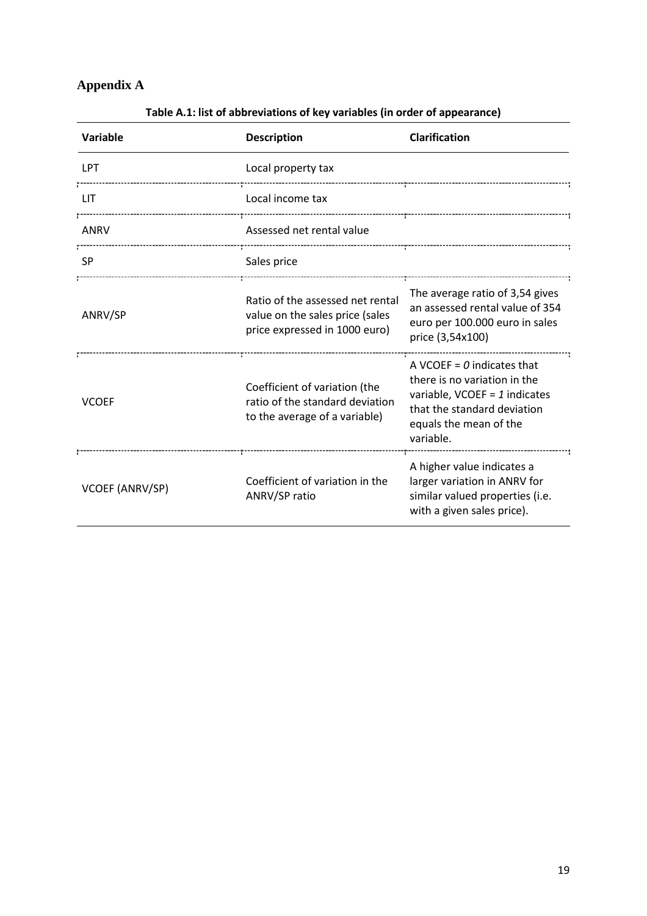# **Appendix A**

| <b>Variable</b> | <b>Description</b>                                                                                   | <b>Clarification</b>                                                                                                                                                       |  |
|-----------------|------------------------------------------------------------------------------------------------------|----------------------------------------------------------------------------------------------------------------------------------------------------------------------------|--|
| LPT             | Local property tax                                                                                   |                                                                                                                                                                            |  |
| <b>LIT</b>      | Local income tax                                                                                     |                                                                                                                                                                            |  |
| ANRV            | Assessed net rental value                                                                            |                                                                                                                                                                            |  |
| <b>SP</b>       | Sales price                                                                                          |                                                                                                                                                                            |  |
| ANRV/SP         | Ratio of the assessed net rental<br>value on the sales price (sales<br>price expressed in 1000 euro) | The average ratio of 3,54 gives<br>an assessed rental value of 354<br>euro per 100.000 euro in sales<br>price (3,54x100)                                                   |  |
| <b>VCOEF</b>    | Coefficient of variation (the<br>ratio of the standard deviation<br>to the average of a variable)    | A VCOEF = $\theta$ indicates that<br>there is no variation in the<br>variable, VCOEF = $1$ indicates<br>that the standard deviation<br>equals the mean of the<br>variable. |  |
| VCOEF (ANRV/SP) | Coefficient of variation in the<br>ANRV/SP ratio                                                     | A higher value indicates a<br>larger variation in ANRV for<br>similar valued properties (i.e.<br>with a given sales price).                                                |  |

# **Table A.1: list of abbreviations of key variables (in order of appearance)**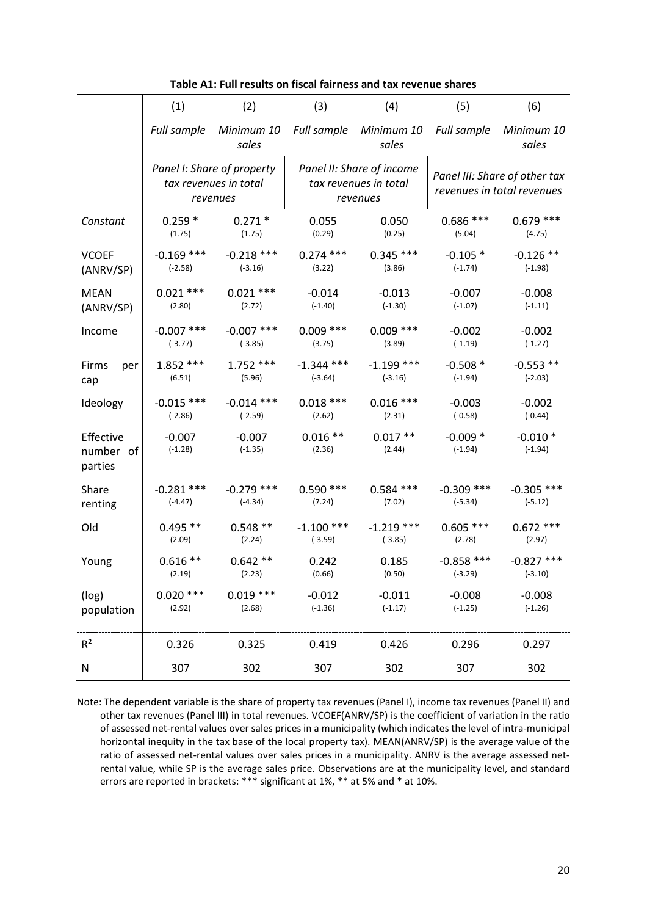|                                   | (1)                                                             | (2)                   | (3)                                                            | (4)                       | (5)                                                         | (6)                      |
|-----------------------------------|-----------------------------------------------------------------|-----------------------|----------------------------------------------------------------|---------------------------|-------------------------------------------------------------|--------------------------|
|                                   | <b>Full sample</b>                                              | Minimum 10<br>sales   | Full sample                                                    | Minimum 10<br>sales       | Full sample                                                 | Minimum 10<br>sales      |
|                                   | Panel I: Share of property<br>tax revenues in total<br>revenues |                       | Panel II: Share of income<br>tax revenues in total<br>revenues |                           | Panel III: Share of other tax<br>revenues in total revenues |                          |
| Constant                          | $0.259*$                                                        | $0.271*$              | 0.055                                                          | 0.050                     | $0.686$ ***                                                 | $0.679$ ***              |
|                                   | (1.75)                                                          | (1.75)                | (0.29)                                                         | (0.25)                    | (5.04)                                                      | (4.75)                   |
| <b>VCOEF</b>                      | $-0.169$ ***                                                    | $-0.218$ ***          | $0.274$ ***                                                    | $0.345$ ***               | $-0.105*$                                                   | $-0.126$ **              |
| (ANRV/SP)                         | $(-2.58)$                                                       | $(-3.16)$             | (3.22)                                                         | (3.86)                    | $(-1.74)$                                                   | $(-1.98)$                |
| <b>MEAN</b>                       | $0.021$ ***                                                     | $0.021$ ***           | $-0.014$                                                       | $-0.013$                  | $-0.007$                                                    | $-0.008$                 |
| (ANRV/SP)                         | (2.80)                                                          | (2.72)                | $(-1.40)$                                                      | $(-1.30)$                 | $(-1.07)$                                                   | $(-1.11)$                |
| Income                            | $-0.007$ ***                                                    | $-0.007$ ***          | $0.009$ ***                                                    | $0.009$ ***               | $-0.002$                                                    | $-0.002$                 |
|                                   | $(-3.77)$                                                       | $(-3.85)$             | (3.75)                                                         | (3.89)                    | $(-1.19)$                                                   | $(-1.27)$                |
| Firms<br>per<br>cap               | $1.852$ ***<br>(6.51)                                           | $1.752***$<br>(5.96)  | $-1.344$ ***<br>$(-3.64)$                                      | $-1.199$ ***<br>$(-3.16)$ | $-0.508*$<br>$(-1.94)$                                      | $-0.553$ **<br>$(-2.03)$ |
| Ideology                          | $-0.015$ ***                                                    | $-0.014$ ***          | $0.018***$                                                     | $0.016$ ***               | $-0.003$                                                    | $-0.002$                 |
|                                   | $(-2.86)$                                                       | $(-2.59)$             | (2.62)                                                         | (2.31)                    | $(-0.58)$                                                   | $(-0.44)$                |
| Effective<br>number of<br>parties | $-0.007$<br>$(-1.28)$                                           | $-0.007$<br>$(-1.35)$ | $0.016**$<br>(2.36)                                            | $0.017**$<br>(2.44)       | $-0.009*$<br>$(-1.94)$                                      | $-0.010*$<br>$(-1.94)$   |
| Share                             | $-0.281$ ***                                                    | $-0.279$ ***          | $0.590$ ***                                                    | $0.584$ ***               | $-0.309$ ***                                                | $-0.305$ ***             |
| renting                           | $(-4.47)$                                                       | $(-4.34)$             | (7.24)                                                         | (7.02)                    | $(-5.34)$                                                   | $(-5.12)$                |
| Old                               | $0.495**$                                                       | $0.548**$             | $-1.100$ ***                                                   | $-1.219$ ***              | $0.605$ ***                                                 | $0.672$ ***              |
|                                   | (2.09)                                                          | (2.24)                | $(-3.59)$                                                      | $(-3.85)$                 | (2.78)                                                      | (2.97)                   |
| Young                             | $0.616**$                                                       | $0.642**$             | 0.242                                                          | 0.185                     | $-0.858$ ***                                                | $-0.827$ ***             |
|                                   | (2.19)                                                          | (2.23)                | (0.66)                                                         | (0.50)                    | $(-3.29)$                                                   | $(-3.10)$                |
| (log)                             | $0.020$ ***                                                     | $0.019$ ***           | $-0.012$                                                       | $-0.011$                  | $-0.008$                                                    | $-0.008$                 |
| population                        | (2.92)                                                          | (2.68)                | $(-1.36)$                                                      | $(-1.17)$                 | $(-1.25)$                                                   | $(-1.26)$                |
| R <sup>2</sup>                    | 0.326                                                           | 0.325                 | 0.419                                                          | 0.426                     | 0.296                                                       | 0.297                    |
| ${\sf N}$                         | 307                                                             | 302                   | 307                                                            | 302                       | 307                                                         | 302                      |

**Table A1: Full results on fiscal fairness and tax revenue shares**

Note: The dependent variable is the share of property tax revenues (Panel I), income tax revenues (Panel II) and other tax revenues (Panel III) in total revenues. VCOEF(ANRV/SP) is the coefficient of variation in the ratio of assessed net-rental values over sales prices in a municipality (which indicates the level of intra-municipal horizontal inequity in the tax base of the local property tax). MEAN(ANRV/SP) is the average value of the ratio of assessed net-rental values over sales prices in a municipality. ANRV is the average assessed netrental value, while SP is the average sales price. Observations are at the municipality level, and standard errors are reported in brackets: \*\*\* significant at 1%, \*\* at 5% and \* at 10%.